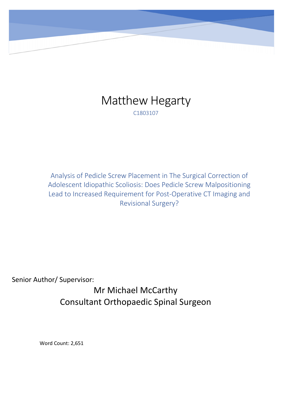

Analysis of Pedicle Screw Placement in The Surgical Correction of Adolescent Idiopathic Scoliosis: Does Pedicle Screw Malpositioning Lead to Increased Requirement for Post-Operative CT Imaging and Revisional Surgery?

Senior Author/ Supervisor:

Mr Michael McCarthy Consultant Orthopaedic Spinal Surgeon

Word Count: 2,651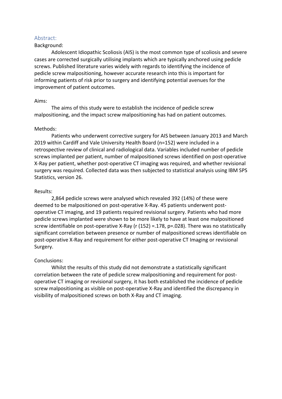## Abstract:

## Background:

Adolescent Idiopathic Scoliosis (AIS) is the most common type of scoliosis and severe cases are corrected surgically utilising implants which are typically anchored using pedicle screws. Published literature varies widely with regards to identifying the incidence of pedicle screw malpositioning, however accurate research into this is important for informing patients of risk prior to surgery and identifying potential avenues for the improvement of patient outcomes.

### Aims:

The aims of this study were to establish the incidence of pedicle screw malpositioning, and the impact screw malpositioning has had on patient outcomes.

### Methods:

Patients who underwent corrective surgery for AIS between January 2013 and March 2019 within Cardiff and Vale University Health Board (n=152) were included in a retrospective review of clinical and radiological data. Variables included number of pedicle screws implanted per patient, number of malpositioned screws identified on post-operative X-Ray per patient, whether post-operative CT imaging was required, and whether revisional surgery was required. Collected data was then subjected to statistical analysis using IBM SPS Statistics, version 26.

### Results:

2,864 pedicle screws were analysed which revealed 392 (14%) of these were deemed to be malpositioned on post-operative X-Ray. 45 patients underwent postoperative CT imaging, and 19 patients required revisional surgery. Patients who had more pedicle screws implanted were shown to be more likely to have at least one malpositioned screw identifiable on post-operative X-Ray (r (152) =.178, p=.028). There was no statistically significant correlation between presence or number of malpositioned screws identifiable on post-operative X-Ray and requirement for either post-operative CT Imaging or revisional Surgery.

## Conclusions:

Whilst the results of this study did not demonstrate a statistically significant correlation between the rate of pedicle screw malpositioning and requirement for postoperative CT imaging or revisional surgery, it has both established the incidence of pedicle screw malpositioning as visible on post-operative X-Ray and identified the discrepancy in visibility of malpositioned screws on both X-Ray and CT imaging.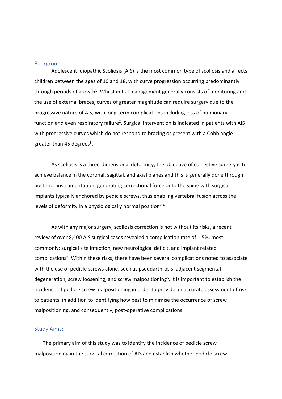## Background:

Adolescent Idiopathic Scoliosis (AIS) is the most common type of scoliosis and affects children between the ages of 10 and 18, with curve progression occurring predominantly through periods of growth<sup>1</sup>. Whilst initial management generally consists of monitoring and the use of external braces, curves of greater magnitude can require surgery due to the progressive nature of AIS, with long-term complications including loss of pulmonary function and even respiratory failure<sup>2</sup>. Surgical intervention is indicated in patients with AIS with progressive curves which do not respond to bracing or present with a Cobb angle greater than 45 degrees<sup>3</sup>.

As scoliosis is a three-dimensional deformity, the objective of corrective surgery is to achieve balance in the coronal, sagittal, and axial planes and this is generally done through posterior instrumentation: generating correctional force onto the spine with surgical implants typically anchored by pedicle screws, thus enabling vertebral fusion across the levels of deformity in a physiologically normal position $2.4$ 

As with any major surgery, scoliosis correction is not without its risks, a recent review of over 8,400 AIS surgical cases revealed a complication rate of 1.5%, most commonly: surgical site infection, new neurological deficit, and implant related complications<sup>5</sup>. Within these risks, there have been several complications noted to associate with the use of pedicle screws alone, such as pseudarthrosis, adjacent segmental degeneration, screw loosening, and screw malpositioning<sup>6</sup>. It is important to establish the incidence of pedicle screw malpositioning in order to provide an accurate assessment of risk to patients, in addition to identifying how best to minimise the occurrence of screw malpositioning, and consequently, post-operative complications.

# Study Aims:

The primary aim of this study was to identify the incidence of pedicle screw malpositioning in the surgical correction of AIS and establish whether pedicle screw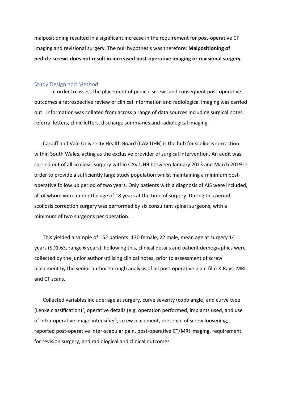malpositioning resulted in a significant increase in the requirement for post-operative CT imaging and revisional surgery. The null hypothesis was therefore: **Malpositioning of pedicle screws does not result in increased post-operative imaging or revisional surgery.** 

#### Study Design and Method:

In order to assess the placement of pedicle screws and consequent post-operative outcomes a retrospective review of clinical information and radiological imaging was carried out. Information was collated from across a range of data sources including surgical notes, referral letters, clinic letters, discharge summaries and radiological imaging.

Cardiff and Vale University Health Board (CAV UHB) is the hub for scoliosis correction within South Wales, acting as the exclusive provider of surgical intervention. An audit was carried out of all scoliosis surgery within CAV UHB between January 2013 and March 2019 in order to provide a sufficiently large study population whilst maintaining a minimum postoperative follow up period of two years. Only patients with a diagnosis of AIS were included, all of whom were under the age of 18 years at the time of surgery. During this period, scoliosis correction surgery was performed by six consultant spinal surgeons, with a minimum of two surgeons per operation.

This yielded a sample of 152 patients: 130 female, 22 male, mean age at surgery 14 years (SD1.63, range 6 years). Following this, clinical details and patient demographics were collected by the junior author utilising clinical notes, prior to assessment of screw placement by the senior author through analysis of all post-operative plain film X-Rays, MRI, and CT scans.

Collected variables include: age at surgery, curve severity (cobb angle) and curve type (Lenke classification)<sup>7</sup>, operative details (e.g. operation performed, implants used, and use of intra-operative image intensifier), screw placement, presence of screw loosening, reported post-operative inter-scapular pain, post-operative CT/MRI imaging, requirement for revision surgery, and radiological and clinical outcomes.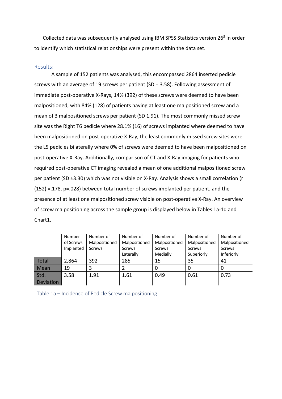Collected data was subsequently analysed using IBM SPSS Statistics version  $26<sup>8</sup>$  in order to identify which statistical relationships were present within the data set.

# Results:

A sample of 152 patients was analysed, this encompassed 2864 inserted pedicle screws with an average of 19 screws per patient (SD ± 3.58). Following assessment of immediate post-operative X-Rays, 14% (392) of these screws were deemed to have been malpositioned, with 84% (128) of patients having at least one malpositioned screw and a mean of 3 malpositioned screws per patient (SD 1.91). The most commonly missed screw site was the Right T6 pedicle where 28.1% (16) of screws implanted where deemed to have been malpositioned on post-operative X-Ray, the least commonly missed screw sites were the L5 pedicles bilaterally where 0% of screws were deemed to have been malpositioned on post-operative X-Ray. Additionally, comparison of CT and X-Ray imaging for patients who required post-operative CT imaging revealed a mean of one additional malpositioned screw per patient (SD ±3.30) which was not visible on X-Ray. Analysis shows a small correlation (r (152) =.178, p=.028) between total number of screws implanted per patient, and the presence of at least one malpositioned screw visible on post-operative X-Ray. An overview of screw malpositioning across the sample group is displayed below in Tables 1a-1d and Chart1.

|           | Number of<br>Number |               | Number of     | Number of     | Number of     | Number of     |
|-----------|---------------------|---------------|---------------|---------------|---------------|---------------|
|           | of Screws           | Malpositioned | Malpositioned | Malpositioned | Malpositioned | Malpositioned |
|           | Implanted           | Screws        | Screws        | Screws        | <b>Screws</b> | Screws        |
|           |                     |               | Laterally     | Medially      | Superiorly    | Inferiorly    |
| Total     | 2,864               | 392           | 285           | 15            | 35            | 41            |
| Mean      | 19                  |               |               |               | 0             | 0             |
| Std.      | 3.58                | 1.91          | 1.61          | 0.49          | 0.61          | 0.73          |
| Deviation |                     |               |               |               |               |               |

Table 1a – Incidence of Pedicle Screw malpositioning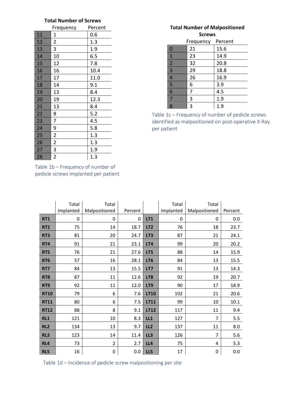# **Total Number of Screws**

|    | Frequency      | Percent |
|----|----------------|---------|
| 11 | 1              | 0.6     |
| 12 | 2              | 1.3     |
| 13 | 3              | 1.9     |
| 14 | 10             | 6.5     |
| 15 | 12             | 7.8     |
| 16 | 16             | 10.4    |
| 17 | 17             | 11.0    |
| 18 | 14             | 9.1     |
| 19 | 13             | 8.4     |
| 20 | 19             | 12.3    |
| 21 | 13             | 8.4     |
| 22 | 8              | 5.2     |
| 23 | 7              | 4.5     |
| 24 | 9              | 5.8     |
| 25 | $\overline{c}$ | 1.3     |
| 26 | $\overline{c}$ | 1.3     |
| 27 | 3              | 1.9     |
| 28 | $\overline{2}$ | 1.3     |

Table 1b – Frequency of number of pedicle screws implanted per patient

# **Total Number of Malpositioned Screws**

|                | Frequency | Percent |
|----------------|-----------|---------|
| $\mathbf 0$    | 21        | 15.6    |
| $\mathbf{1}$   | 23        | 14.9    |
| $\overline{2}$ | 32        | 20.8    |
| 3              | 29        | 18.8    |
| $\overline{4}$ | 26        | 16.9    |
| 5              | 6         | 3.9     |
| 6              | 7         | 4.5     |
| 7              | 3         | 1.9     |
| 8              | 3         | 1.9     |

Table 1c – Frequency of number of pedicle screws identified as malpositioned on post-operative X-Ray per patient

|                 | Total     | Total          |         |                 | Total     | Total          |         |
|-----------------|-----------|----------------|---------|-----------------|-----------|----------------|---------|
|                 | Implanted | Malpositioned  | Percent |                 | Implanted | Malpositioned  | Percent |
| <b>RT1</b>      | 0         | 0              | 0       | <b>LT1</b>      | 0         | 0              | 0.0     |
| RT <sub>2</sub> | 75        | 14             | 18.7    | LT <sub>2</sub> | 76        | 18             | 23.7    |
| RT3             | 81        | 20             | 24.7    | LT3             | 87        | 21             | 24.1    |
| RT4             | 91        | 21             | 23.1    | LT4             | 99        | 20             | 20.2    |
| RT5             | 76        | 21             | 27.6    | LT5             | 88        | 14             | 15.9    |
| RT <sub>6</sub> | 57        | 16             | 28.1    | LT6             | 84        | 13             | 15.5    |
| RT7             | 84        | 13             | 15.5    | LT7             | 91        | 13             | 14.3    |
| RT8             | 87        | 11             | 12.6    | LT8             | 92        | 19             | 20.7    |
| RT9             | 92        | 11             | 12.0    | LT9             | 90        | 17             | 18.9    |
| <b>RT10</b>     | 79        | 6              | 7.6     | <b>LT10</b>     | 102       | 21             | 20.6    |
| <b>RT11</b>     | 80        | 6              | 7.5     | LT11            | 99        | 10             | 10.1    |
| <b>RT12</b>     | 88        | 8              | 9.1     | <b>LT12</b>     | 117       | 11             | 9.4     |
| RL1             | 121       | 10             | 8.3     | LL1             | 127       | $\overline{7}$ | 5.5     |
| RL <sub>2</sub> | 134       | 13             | 9.7     | LL2             | 137       | 11             | 8.0     |
| RL3             | 123       | 14             | 11.4    | LL3             | 126       | $\overline{7}$ | 5.6     |
| RL4             | 73        | $\overline{2}$ | 2.7     | LL4             | 75        | 4              | 5.3     |
| RL5             | 16        | 0              | 0.0     | LL5             | 17        | $\mathbf 0$    | 0.0     |

Table 1d – Incidence of pedicle screw malpositioning per site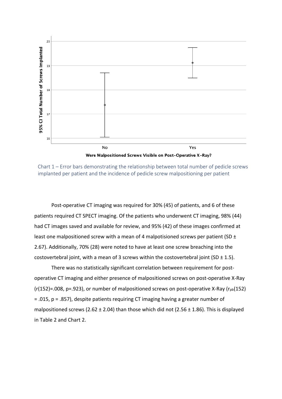

Chart 1 – Error bars demonstrating the relationship between total number of pedicle screws implanted per patient and the incidence of pedicle screw malpositioning per patient

Post-operative CT imaging was required for 30% (45) of patients, and 6 of these patients required CT SPECT imaging. Of the patients who underwent CT imaging, 98% (44) had CT images saved and available for review, and 95% (42) of these images confirmed at least one malpositioned screw with a mean of 4 malpotisioned screws per patient (SD ± 2.67). Additionally, 70% (28) were noted to have at least one screw breaching into the costovertebral joint, with a mean of 3 screws within the costovertebral joint (SD  $\pm$  1.5).

There was no statistically significant correlation between requirement for postoperative CT imaging and either presence of malpositioned screws on post-operative X-Ray  $(r(152)=.008, p=.923)$ , or number of malpositioned screws on post-operative X-Ray ( $r_{pb}(152)$ ) = .015, p = .857), despite patients requiring CT imaging having a greater number of malpositioned screws (2.62  $\pm$  2.04) than those which did not (2.56  $\pm$  1.86). This is displayed in Table 2 and Chart 2.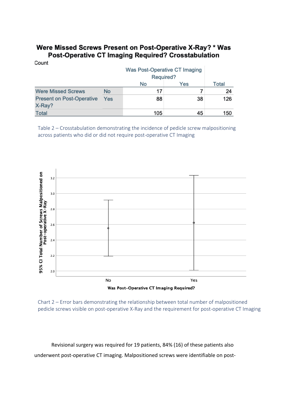# Were Missed Screws Present on Post-Operative X-Ray? \* Was Post-Operative CT Imaging Required? Crosstabulation

Count

|                                            |           | No  | Yes | Total |
|--------------------------------------------|-----------|-----|-----|-------|
| <b>Were Missed Screws</b>                  | <b>No</b> | 17  |     | 24    |
| <b>Present on Post-Operative</b><br>X-Ray? | Yes       | 88  | 38  | 126   |
| <b>Total</b>                               |           | 105 | 45  | 150   |

Table 2 – Crosstabulation demonstrating the incidence of pedicle screw malpositioning across patients who did or did not require post-operative CT Imaging



Chart 2 – Error bars demonstrating the relationship between total number of malpositioned pedicle screws visible on post-operative X-Ray and the requirement for post-operative CT Imaging

Revisional surgery was required for 19 patients, 84% (16) of these patients also underwent post-operative CT imaging. Malpositioned screws were identifiable on post-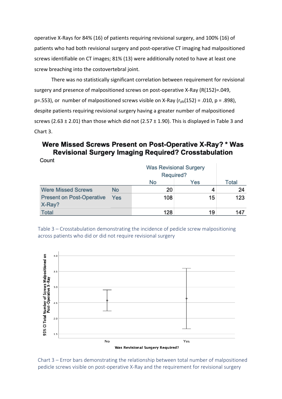operative X-Rays for 84% (16) of patients requiring revisional surgery, and 100% (16) of patients who had both revisional surgery and post-operative CT imaging had malpositioned screws identifiable on CT images; 81% (13) were additionally noted to have at least one screw breaching into the costovertebral joint.

There was no statistically significant correlation between requirement for revisional surgery and presence of malpositioned screws on post-operative X-Ray (R(152)=.049, p=.553), or number of malpositioned screws visible on X-Ray ( $r_{pb}(152)$  = .010, p = .898), despite patients requiring revisional surgery having a greater number of malpositioned screws (2.63  $\pm$  2.01) than those which did not (2.57  $\pm$  1.90). This is displayed in Table 3 and Chart 3.

# Were Missed Screws Present on Post-Operative X-Ray? \* Was **Revisional Surgery Imaging Required? Crosstabulation**

Count

|                                            |           | No  | Yes | Total |
|--------------------------------------------|-----------|-----|-----|-------|
| <b>Were Missed Screws</b>                  | <b>No</b> | 20  |     | 24    |
| <b>Present on Post-Operative</b><br>X-Ray? | Yes       | 108 | 15  | 123   |
| <b>Total</b>                               |           | 128 | 19  | 147   |

Table 3 – Crosstabulation demonstrating the incidence of pedicle screw malpositioning across patients who did or did not require revisional surgery



Chart 3 – Error bars demonstrating the relationship between total number of malpositioned pedicle screws visible on post-operative X-Ray and the requirement for revisional surgery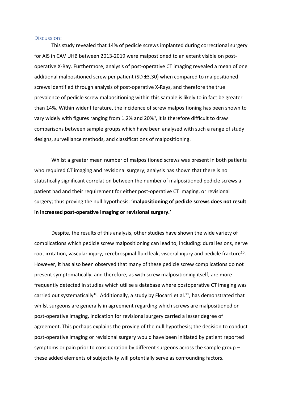#### Discussion:

This study revealed that 14% of pedicle screws implanted during correctional surgery for AIS in CAV UHB between 2013-2019 were malpostioned to an extent visible on postoperative X-Ray. Furthermore, analysis of post-operative CT imaging revealed a mean of one additional malpositioned screw per patient (SD ±3.30) when compared to malpositioned screws identified through analysis of post-operative X-Rays, and therefore the true prevalence of pedicle screw malpositioning within this sample is likely to in fact be greater than 14%. Within wider literature, the incidence of screw malpositioning has been shown to vary widely with figures ranging from 1.2% and 20%<sup>9</sup>, it is therefore difficult to draw comparisons between sample groups which have been analysed with such a range of study designs, surveillance methods, and classifications of malpositioning.

Whilst a greater mean number of malpositioned screws was present in both patients who required CT imaging and revisional surgery; analysis has shown that there is no statistically significant correlation between the number of malpositioned pedicle screws a patient had and their requirement for either post-operative CT imaging, or revisional surgery; thus proving the null hypothesis: '**malpositioning of pedicle screws does not result in increased post-operative imaging or revisional surgery.'** 

Despite, the results of this analysis, other studies have shown the wide variety of complications which pedicle screw malpositioning can lead to, including: dural lesions, nerve root irritation, vascular injury, cerebrospinal fluid leak, visceral injury and pedicle fracture<sup>10</sup>. However, it has also been observed that many of these pedicle screw complications do not present symptomatically, and therefore, as with screw malpositioning itself, are more frequently detected in studies which utilise a database where postoperative CT imaging was carried out systematically<sup>10</sup>. Additionally, a study by Flocarri et al.<sup>11</sup>, has demonstrated that whilst surgeons are generally in agreement regarding which screws are malpositioned on post-operative imaging, indication for revisional surgery carried a lesser degree of agreement. This perhaps explains the proving of the null hypothesis; the decision to conduct post-operative imaging or revisional surgery would have been initiated by patient reported symptoms or pain prior to consideration by different surgeons across the sample group – these added elements of subjectivity will potentially serve as confounding factors.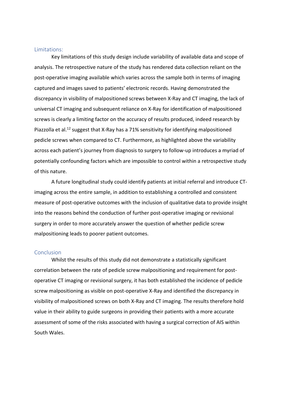## Limitations:

Key limitations of this study design include variability of available data and scope of analysis. The retrospective nature of the study has rendered data collection reliant on the post-operative imaging available which varies across the sample both in terms of imaging captured and images saved to patients' electronic records. Having demonstrated the discrepancy in visibility of malpositioned screws between X-Ray and CT imaging, the lack of universal CT imaging and subsequent reliance on X-Ray for identification of malpositioned screws is clearly a limiting factor on the accuracy of results produced, indeed research by Piazzolla et al.<sup>12</sup> suggest that X-Ray has a 71% sensitivity for identifying malpositioned pedicle screws when compared to CT. Furthermore, as highlighted above the variability across each patient's journey from diagnosis to surgery to follow-up introduces a myriad of potentially confounding factors which are impossible to control within a retrospective study of this nature.

A future longitudinal study could identify patients at initial referral and introduce CTimaging across the entire sample, in addition to establishing a controlled and consistent measure of post-operative outcomes with the inclusion of qualitative data to provide insight into the reasons behind the conduction of further post-operative imaging or revisional surgery in order to more accurately answer the question of whether pedicle screw malpositioning leads to poorer patient outcomes.

## **Conclusion**

Whilst the results of this study did not demonstrate a statistically significant correlation between the rate of pedicle screw malpositioning and requirement for postoperative CT imaging or revisional surgery, it has both established the incidence of pedicle screw malpositioning as visible on post-operative X-Ray and identified the discrepancy in visibility of malpositioned screws on both X-Ray and CT imaging. The results therefore hold value in their ability to guide surgeons in providing their patients with a more accurate assessment of some of the risks associated with having a surgical correction of AIS within South Wales.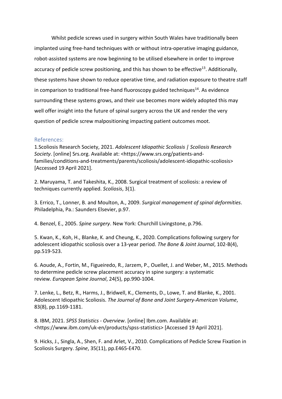Whilst pedicle screws used in surgery within South Wales have traditionally been implanted using free-hand techniques with or without intra-operative imaging guidance, robot-assisted systems are now beginning to be utilised elsewhere in order to improve accuracy of pedicle screw positioning, and this has shown to be effective<sup>13</sup>. Additionally, these systems have shown to reduce operative time, and radiation exposure to theatre staff in comparison to traditional free-hand fluoroscopy guided techniques $^{14}$ . As evidence surrounding these systems grows, and their use becomes more widely adopted this may well offer insight into the future of spinal surgery across the UK and render the very question of pedicle screw malpositioning impacting patient outcomes moot.

## References:

1.Scoliosis Research Society, 2021. *Adolescent Idiopathic Scoliosis | Scoliosis Research Society*. [online] Srs.org. Available at: <https://www.srs.org/patients-andfamilies/conditions-and-treatments/parents/scoliosis/adolescent-idiopathic-scoliosis> [Accessed 19 April 2021].

2. Maruyama, T. and Takeshita, K., 2008. Surgical treatment of scoliosis: a review of techniques currently applied. *Scoliosis*, 3(1).

3. Errico, T., Lonner, B. and Moulton, A., 2009. *Surgical management of spinal deformities*. Philadelphia, Pa.: Saunders Elsevier, p.97.

4. Benzel, E., 2005. *Spine surgery*. New York: Churchill Livingstone, p.796.

5. Kwan, K., Koh, H., Blanke, K. and Cheung, K., 2020. Complications following surgery for adolescent idiopathic scoliosis over a 13-year period. *The Bone & Joint Journal*, 102-B(4), pp.519-523.

6. Aoude, A., Fortin, M., Figueiredo, R., Jarzem, P., Ouellet, J. and Weber, M., 2015. Methods to determine pedicle screw placement accuracy in spine surgery: a systematic review. *European Spine Journal*, 24(5), pp.990-1004.

7. Lenke, L., Betz, R., Harms, J., Bridwell, K., Clements, D., Lowe, T. and Blanke, K., 2001. Adolescent Idiopathic Scoliosis. *The Journal of Bone and Joint Surgery-American Volume*, 83(8), pp.1169-1181.

8. IBM, 2021. *SPSS Statistics - Overview*. [online] Ibm.com. Available at: <https://www.ibm.com/uk-en/products/spss-statistics> [Accessed 19 April 2021].

9. Hicks, J., Singla, A., Shen, F. and Arlet, V., 2010. Complications of Pedicle Screw Fixation in Scoliosis Surgery. *Spine*, 35(11), pp.E465-E470.